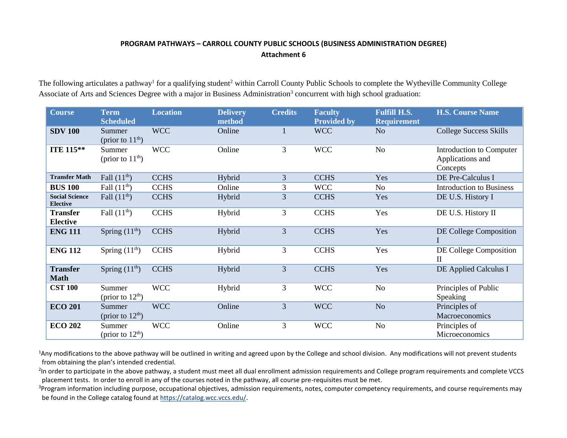## **PROGRAM PATHWAYS – CARROLL COUNTY PUBLIC SCHOOLS (BUSINESS ADMINISTRATION DEGREE) Attachment 6**

The following articulates a pathway<sup>1</sup> for a qualifying student<sup>2</sup> within Carroll County Public Schools to complete the Wytheville Community College Associate of Arts and Sciences Degree with a major in Business Administration<sup>3</sup> concurrent with high school graduation:

| <b>Course</b>                            | <b>Term</b><br><b>Scheduled</b> | <b>Location</b> | <b>Delivery</b><br>method | <b>Credits</b> | <b>Faculty</b><br><b>Provided by</b> | <b>Fulfill H.S.</b><br><b>Requirement</b> | <b>H.S. Course Name</b>                                  |
|------------------------------------------|---------------------------------|-----------------|---------------------------|----------------|--------------------------------------|-------------------------------------------|----------------------------------------------------------|
| <b>SDV 100</b>                           | Summer<br>(prior to $11th$ )    | <b>WCC</b>      | Online                    | 1              | <b>WCC</b>                           | N <sub>o</sub>                            | <b>College Success Skills</b>                            |
| <b>ITE 115**</b>                         | Summer<br>(prior to $11th$ )    | <b>WCC</b>      | Online                    | 3              | <b>WCC</b>                           | No                                        | Introduction to Computer<br>Applications and<br>Concepts |
| <b>Transfer Math</b>                     | Fall $(11^{\text{th}})$         | <b>CCHS</b>     | Hybrid                    | 3              | <b>CCHS</b>                          | Yes                                       | DE Pre-Calculus I                                        |
| <b>BUS 100</b>                           | Fall $(11th)$                   | <b>CCHS</b>     | Online                    | 3              | <b>WCC</b>                           | No                                        | <b>Introduction to Business</b>                          |
| <b>Social Science</b><br><b>Elective</b> | Fall $(11th)$                   | <b>CCHS</b>     | Hybrid                    | 3              | <b>CCHS</b>                          | Yes                                       | DE U.S. History I                                        |
| <b>Transfer</b><br><b>Elective</b>       | Fall $(11th)$                   | <b>CCHS</b>     | Hybrid                    | 3              | <b>CCHS</b>                          | Yes                                       | DE U.S. History II                                       |
| <b>ENG 111</b>                           | Spring $(11th)$                 | <b>CCHS</b>     | Hybrid                    | 3              | <b>CCHS</b>                          | Yes                                       | DE College Composition                                   |
| <b>ENG 112</b>                           | Spring $(11th)$                 | <b>CCHS</b>     | Hybrid                    | 3              | <b>CCHS</b>                          | Yes                                       | DE College Composition<br>$\mathbf{I}$                   |
| <b>Transfer</b><br><b>Math</b>           | Spring $(11th)$                 | <b>CCHS</b>     | Hybrid                    | 3              | <b>CCHS</b>                          | Yes                                       | DE Applied Calculus I                                    |
| <b>CST 100</b>                           | Summer<br>(prior to $12th$ )    | <b>WCC</b>      | Hybrid                    | 3              | <b>WCC</b>                           | No                                        | Principles of Public<br>Speaking                         |
| <b>ECO 201</b>                           | Summer<br>(prior to $12th$ )    | <b>WCC</b>      | Online                    | 3              | <b>WCC</b>                           | No                                        | Principles of<br>Macroeconomics                          |
| <b>ECO 202</b>                           | Summer<br>(prior to $12th$ )    | <b>WCC</b>      | Online                    | 3              | <b>WCC</b>                           | No                                        | Principles of<br>Microeconomics                          |

<sup>1</sup>Any modifications to the above pathway will be outlined in writing and agreed upon by the College and school division. Any modifications will not prevent students from obtaining the plan's intended credential.

<sup>2</sup>In order to participate in the above pathway, a student must meet all dual enrollment admission requirements and College program requirements and complete VCCS placement tests. In order to enroll in any of the courses noted in the pathway, all course pre-requisites must be met.

<sup>3</sup>Program information including purpose, occupational objectives, admission requirements, notes, computer competency requirements, and course requirements may be found in the College catalog found a[t https://catalog.wcc.vccs.edu/](https://catalog.wcc.vccs.edu/).